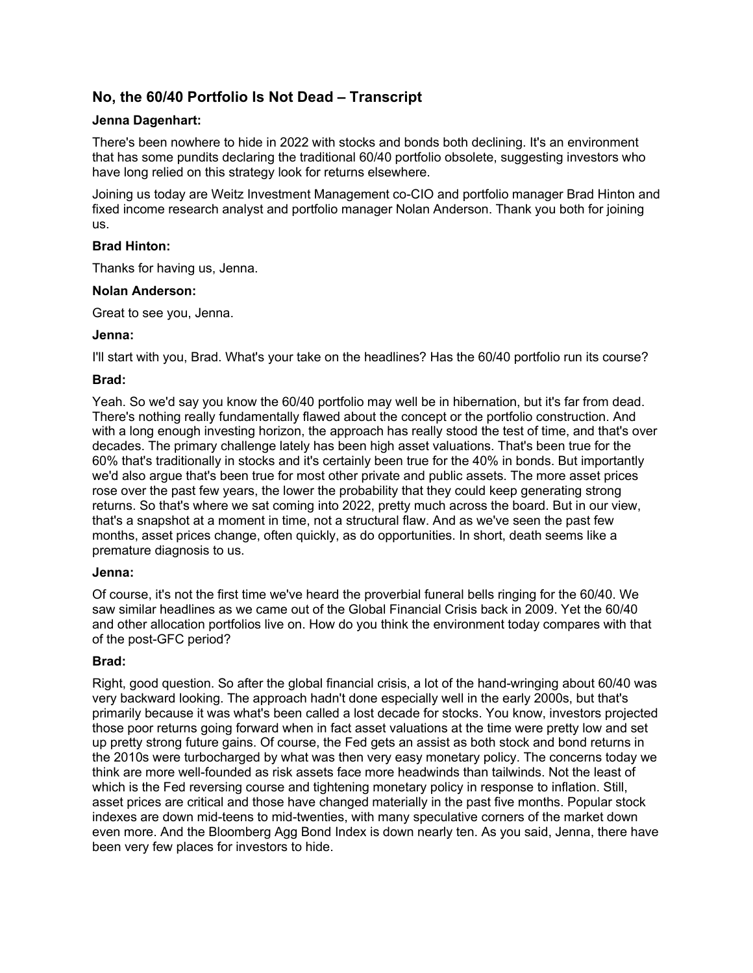# **No, the 60/40 Portfolio Is Not Dead – Transcript**

## **Jenna Dagenhart:**

There's been nowhere to hide in 2022 with stocks and bonds both declining. It's an environment that has some pundits declaring the traditional 60/40 portfolio obsolete, suggesting investors who have long relied on this strategy look for returns elsewhere.

Joining us today are Weitz Investment Management co-CIO and portfolio manager Brad Hinton and fixed income research analyst and portfolio manager Nolan Anderson. Thank you both for joining us.

# **Brad Hinton:**

Thanks for having us, Jenna.

### **Nolan Anderson:**

Great to see you, Jenna.

# **Jenna:**

I'll start with you, Brad. What's your take on the headlines? Has the 60/40 portfolio run its course?

# **Brad:**

Yeah. So we'd say you know the 60/40 portfolio may well be in hibernation, but it's far from dead. There's nothing really fundamentally flawed about the concept or the portfolio construction. And with a long enough investing horizon, the approach has really stood the test of time, and that's over decades. The primary challenge lately has been high asset valuations. That's been true for the 60% that's traditionally in stocks and it's certainly been true for the 40% in bonds. But importantly we'd also argue that's been true for most other private and public assets. The more asset prices rose over the past few years, the lower the probability that they could keep generating strong returns. So that's where we sat coming into 2022, pretty much across the board. But in our view, that's a snapshot at a moment in time, not a structural flaw. And as we've seen the past few months, asset prices change, often quickly, as do opportunities. In short, death seems like a premature diagnosis to us.

### **Jenna:**

Of course, it's not the first time we've heard the proverbial funeral bells ringing for the 60/40. We saw similar headlines as we came out of the Global Financial Crisis back in 2009. Yet the 60/40 and other allocation portfolios live on. How do you think the environment today compares with that of the post-GFC period?

# **Brad:**

Right, good question. So after the global financial crisis, a lot of the hand-wringing about 60/40 was very backward looking. The approach hadn't done especially well in the early 2000s, but that's primarily because it was what's been called a lost decade for stocks. You know, investors projected those poor returns going forward when in fact asset valuations at the time were pretty low and set up pretty strong future gains. Of course, the Fed gets an assist as both stock and bond returns in the 2010s were turbocharged by what was then very easy monetary policy. The concerns today we think are more well-founded as risk assets face more headwinds than tailwinds. Not the least of which is the Fed reversing course and tightening monetary policy in response to inflation. Still, asset prices are critical and those have changed materially in the past five months. Popular stock indexes are down mid-teens to mid-twenties, with many speculative corners of the market down even more. And the Bloomberg Agg Bond Index is down nearly ten. As you said, Jenna, there have been very few places for investors to hide.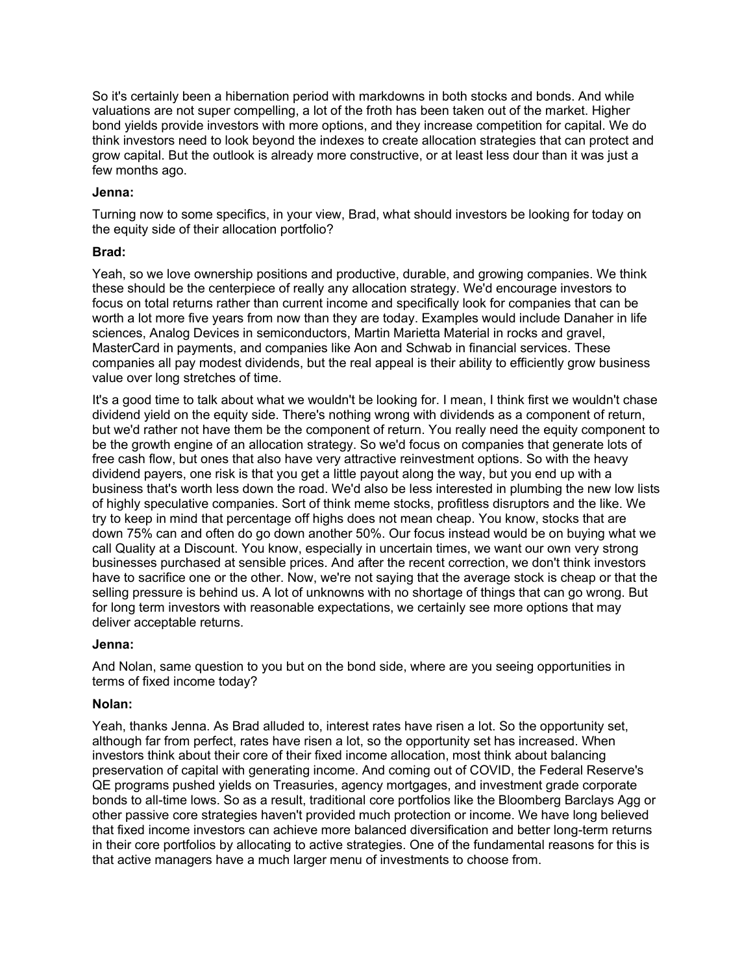So it's certainly been a hibernation period with markdowns in both stocks and bonds. And while valuations are not super compelling, a lot of the froth has been taken out of the market. Higher bond yields provide investors with more options, and they increase competition for capital. We do think investors need to look beyond the indexes to create allocation strategies that can protect and grow capital. But the outlook is already more constructive, or at least less dour than it was just a few months ago.

### **Jenna:**

Turning now to some specifics, in your view, Brad, what should investors be looking for today on the equity side of their allocation portfolio?

### **Brad:**

Yeah, so we love ownership positions and productive, durable, and growing companies. We think these should be the centerpiece of really any allocation strategy. We'd encourage investors to focus on total returns rather than current income and specifically look for companies that can be worth a lot more five years from now than they are today. Examples would include Danaher in life sciences, Analog Devices in semiconductors, Martin Marietta Material in rocks and gravel, MasterCard in payments, and companies like Aon and Schwab in financial services. These companies all pay modest dividends, but the real appeal is their ability to efficiently grow business value over long stretches of time.

It's a good time to talk about what we wouldn't be looking for. I mean, I think first we wouldn't chase dividend yield on the equity side. There's nothing wrong with dividends as a component of return, but we'd rather not have them be the component of return. You really need the equity component to be the growth engine of an allocation strategy. So we'd focus on companies that generate lots of free cash flow, but ones that also have very attractive reinvestment options. So with the heavy dividend payers, one risk is that you get a little payout along the way, but you end up with a business that's worth less down the road. We'd also be less interested in plumbing the new low lists of highly speculative companies. Sort of think meme stocks, profitless disruptors and the like. We try to keep in mind that percentage off highs does not mean cheap. You know, stocks that are down 75% can and often do go down another 50%. Our focus instead would be on buying what we call Quality at a Discount. You know, especially in uncertain times, we want our own very strong businesses purchased at sensible prices. And after the recent correction, we don't think investors have to sacrifice one or the other. Now, we're not saying that the average stock is cheap or that the selling pressure is behind us. A lot of unknowns with no shortage of things that can go wrong. But for long term investors with reasonable expectations, we certainly see more options that may deliver acceptable returns.

#### **Jenna:**

And Nolan, same question to you but on the bond side, where are you seeing opportunities in terms of fixed income today?

#### **Nolan:**

Yeah, thanks Jenna. As Brad alluded to, interest rates have risen a lot. So the opportunity set, although far from perfect, rates have risen a lot, so the opportunity set has increased. When investors think about their core of their fixed income allocation, most think about balancing preservation of capital with generating income. And coming out of COVID, the Federal Reserve's QE programs pushed yields on Treasuries, agency mortgages, and investment grade corporate bonds to all-time lows. So as a result, traditional core portfolios like the Bloomberg Barclays Agg or other passive core strategies haven't provided much protection or income. We have long believed that fixed income investors can achieve more balanced diversification and better long-term returns in their core portfolios by allocating to active strategies. One of the fundamental reasons for this is that active managers have a much larger menu of investments to choose from.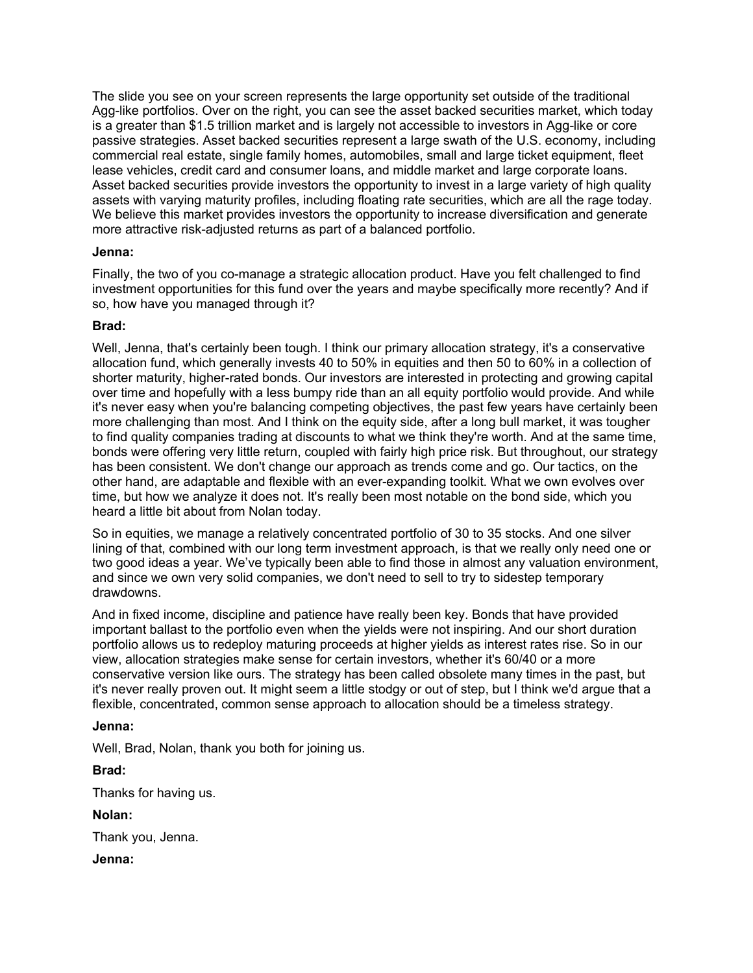The slide you see on your screen represents the large opportunity set outside of the traditional Agg-like portfolios. Over on the right, you can see the asset backed securities market, which today is a greater than \$1.5 trillion market and is largely not accessible to investors in Agg-like or core passive strategies. Asset backed securities represent a large swath of the U.S. economy, including commercial real estate, single family homes, automobiles, small and large ticket equipment, fleet lease vehicles, credit card and consumer loans, and middle market and large corporate loans. Asset backed securities provide investors the opportunity to invest in a large variety of high quality assets with varying maturity profiles, including floating rate securities, which are all the rage today. We believe this market provides investors the opportunity to increase diversification and generate more attractive risk-adjusted returns as part of a balanced portfolio.

#### **Jenna:**

Finally, the two of you co-manage a strategic allocation product. Have you felt challenged to find investment opportunities for this fund over the years and maybe specifically more recently? And if so, how have you managed through it?

#### **Brad:**

Well, Jenna, that's certainly been tough. I think our primary allocation strategy, it's a conservative allocation fund, which generally invests 40 to 50% in equities and then 50 to 60% in a collection of shorter maturity, higher-rated bonds. Our investors are interested in protecting and growing capital over time and hopefully with a less bumpy ride than an all equity portfolio would provide. And while it's never easy when you're balancing competing objectives, the past few years have certainly been more challenging than most. And I think on the equity side, after a long bull market, it was tougher to find quality companies trading at discounts to what we think they're worth. And at the same time, bonds were offering very little return, coupled with fairly high price risk. But throughout, our strategy has been consistent. We don't change our approach as trends come and go. Our tactics, on the other hand, are adaptable and flexible with an ever-expanding toolkit. What we own evolves over time, but how we analyze it does not. It's really been most notable on the bond side, which you heard a little bit about from Nolan today.

So in equities, we manage a relatively concentrated portfolio of 30 to 35 stocks. And one silver lining of that, combined with our long term investment approach, is that we really only need one or two good ideas a year. We've typically been able to find those in almost any valuation environment, and since we own very solid companies, we don't need to sell to try to sidestep temporary drawdowns.

And in fixed income, discipline and patience have really been key. Bonds that have provided important ballast to the portfolio even when the yields were not inspiring. And our short duration portfolio allows us to redeploy maturing proceeds at higher yields as interest rates rise. So in our view, allocation strategies make sense for certain investors, whether it's 60/40 or a more conservative version like ours. The strategy has been called obsolete many times in the past, but it's never really proven out. It might seem a little stodgy or out of step, but I think we'd argue that a flexible, concentrated, common sense approach to allocation should be a timeless strategy.

#### **Jenna:**

Well, Brad, Nolan, thank you both for joining us.

**Brad:**

Thanks for having us.

### **Nolan:**

Thank you, Jenna.

### **Jenna:**